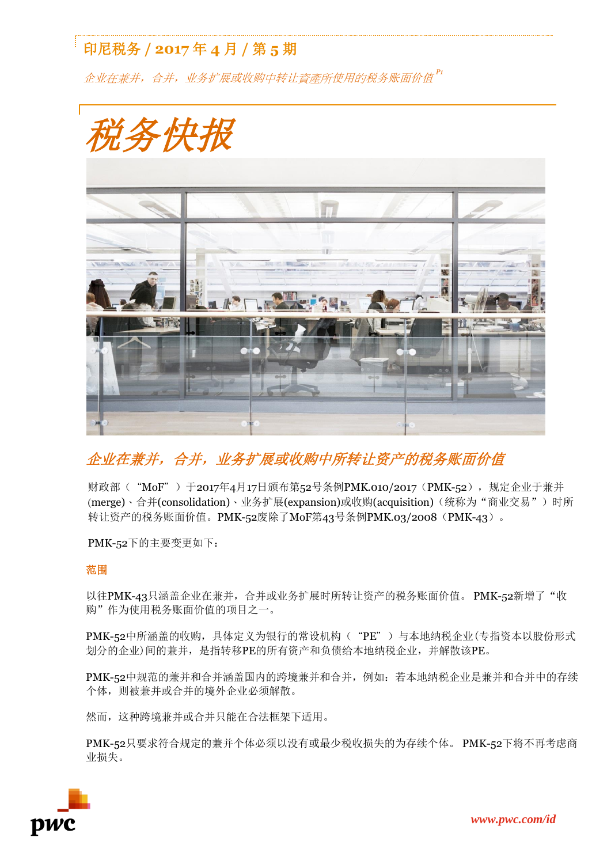# 印尼税务 **/ 2017** 年 **4** 月 **/** 第 **5** 期

企业在兼并,合并,业务扩展或收购中转让資產所使用的税务账面价值 *P1*



## 企业在兼并,合并,业务扩展或收购中所转让资产的税务账面价值

财政部("MoF")于2017年4月17日颁布第52号条例PMK.010/2017 (PMK-52),规定企业于兼并 (merge)、合并(consolidation)、业务扩展(expansion)或收购(acquisition)(统称为"商业交易")时所 转让资产的税务账面价值。PMK-52废除了MoF第43号条例PMK.03/2008 (PMK-43)。

PMK-52下的主要变更如下:

### 范围

以往PMK-43只涵盖企业在兼并,合并或业务扩展时所转让资产的税务账面价值。PMK-52新增了"收 购"作为使用税务账面价值的项目之一。

PMK-52中所涵盖的收购, 具体定义为银行的常设机构( "PE")与本地纳税企业(专指资本以股份形式 划分的企业)间的兼并,是指转移PE的所有资产和负债给本地纳税企业,并解散该PE。

PMK-52中规范的兼并和合并涵盖国内的跨境兼并和合并,例如:若本地纳税企业是兼并和合并中的存续 个体,则被兼并或合并的境外企业必须解散。

然而,这种跨境兼并或合并只能在合法框架下适用。

PMK-52只要求符合规定的兼并个体必须以没有或最少税收损失的为存续个体。 PMK-52下将不再考虑商 业损失。

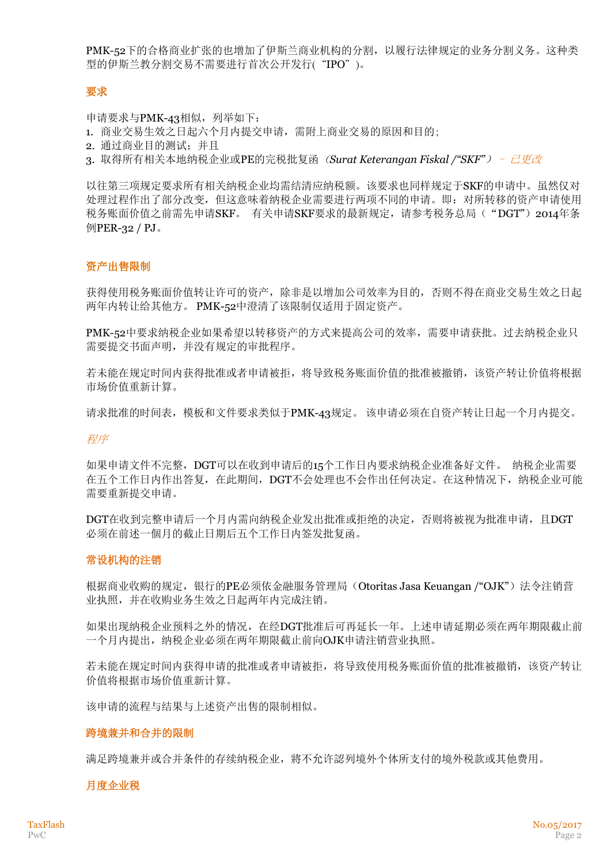PMK-52下的合格商业扩张的也增加了伊斯兰商业机构的分割,以履行法律规定的业务分割义务。这种类 型的伊斯兰教分割交易不需要进行首次公开发行("IPO")。

#### 要求

申请要求与PMK-43相似, 列举如下:

- 1. 商业交易生效之日起六个月内提交申请,需附上商业交易的原因和目的;
- 2. 通过商业目的测试;并且
- 3. 取得所有相关本地纳税企业或PE的完税批复函(*Surat Keterangan Fiskal /"SKF"*) 已更改

以往第三项规定要求所有相关纳税企业均需结清应纳税额。该要求也同样规定于SKF的申请中。虽然仅对 处理过程作出了部分改变,但这意味着纳税企业需要进行两项不同的申请。即:对所转移的资产申请使用 税务账面价值之前需先申请SKF。 有关申请SKF要求的最新规定, 请参考税务总局("DGT") 2014年条 例PER-32 / PJ。

#### 资产出售限制

获得使用税务账面价值转让许可的资产,除非是以增加公司效率为目的,否则不得在商业交易生效之日起 两年内转让给其他方。 PMK-52中澄清了该限制仅适用于固定资产。

PMK-52中要求纳税企业如果希望以转移资产的方式来提高公司的效率,需要申请获批。过去纳税企业只 需要提交书面声明,并没有规定的审批程序。

若未能在规定时间内获得批准或者申请被拒,将导致税务账面价值的批准被撤销,该资产转让价值将根据 市场价值重新计算。

请求批准的时间表,模板和文件要求类似于PMK-43规定。 该申请必须在自资产转让日起一个月内提交。

#### 程序

如果申请文件不完整,DGT可以在收到申请后的15个工作日内要求纳税企业准备好文件。 纳税企业需要 在五个工作日内作出答复,在此期间,DGT不会处理也不会作出任何决定。在这种情况下,纳税企业可能 需要重新提交申请。

DGT在收到完整申请后一个月内需向纳税企业发出批准或拒绝的决定,否则将被视为批准申请,且DGT 必须在前述一個月的截止日期后五个工作日内签发批复函。

#### 常设机构的注销

根据商业收购的规定,银行的PE必须依金融服务管理局(Otoritas Jasa Keuangan /"OJK")法令注销营 业执照,并在收购业务生效之日起两年内完成注销。

如果出现纳税企业预料之外的情况,在经DGT批准后可再延长一年。上述申请延期必须在两年期限截止前 一个月内提出,纳税企业必须在两年期限截止前向OJK申请注销营业执照。

若未能在规定时间内获得申请的批准或者申请被拒,将导致使用税务账面价值的批准被撤销,该资产转让 价值将根据市场价值重新计算。

该申请的流程与结果与上述资产出售的限制相似。

#### 跨境兼并和合并的限制

满足跨境兼并或合并条件的存续纳税企业,將不允许認列境外个体所支付的境外税款或其他费用。

#### 月度企业税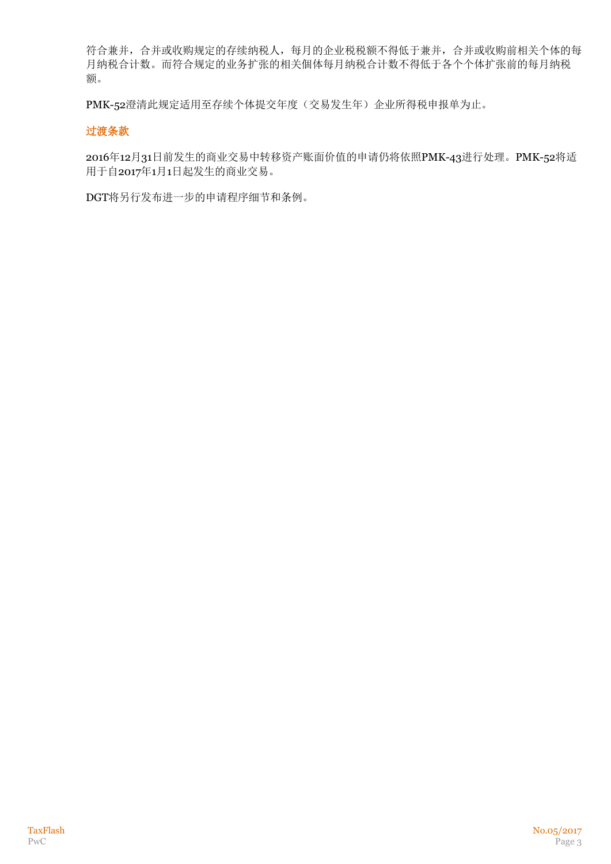符合兼并,合并或收购规定的存续纳税人,每月的企业税税额不得低于兼并,合并或收购前相关个体的每 月纳税合计数。而符合规定的业务扩张的相关個体每月纳税合计数不得低于各个个体扩张前的每月纳税 额。

PMK-52澄清此规定适用至存续个体提交年度(交易发生年)企业所得税申报单为止。

## 过渡条款

2016年12月31日前发生的商业交易中转移资产账面价值的申请仍将依照PMK-43进行处理。PMK-52将适 用于自2017年1月1日起发生的商业交易。

DGT将另行发布进一步的申请程序细节和条例。